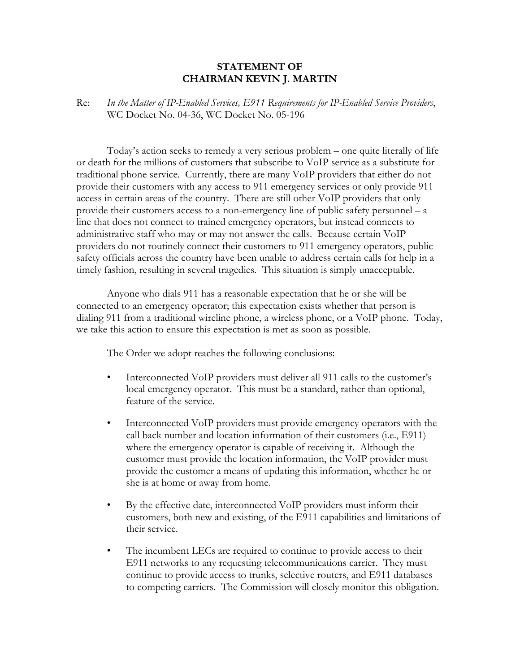## **STATEMENT OF CHAIRMAN KEVIN J. MARTIN**

Re: *In the Matter of IP-Enabled Services, E911 Requirements for IP-Enabled Service Providers*, WC Docket No. 04-36, WC Docket No. 05-196

Today's action seeks to remedy a very serious problem – one quite literally of life or death for the millions of customers that subscribe to VoIP service as a substitute for traditional phone service. Currently, there are many VoIP providers that either do not provide their customers with any access to 911 emergency services or only provide 911 access in certain areas of the country. There are still other VoIP providers that only provide their customers access to a non-emergency line of public safety personnel – a line that does not connect to trained emergency operators, but instead connects to administrative staff who may or may not answer the calls. Because certain VoIP providers do not routinely connect their customers to 911 emergency operators, public safety officials across the country have been unable to address certain calls for help in a timely fashion, resulting in several tragedies. This situation is simply unacceptable.

Anyone who dials 911 has a reasonable expectation that he or she will be connected to an emergency operator; this expectation exists whether that person is dialing 911 from a traditional wireline phone, a wireless phone, or a VoIP phone. Today, we take this action to ensure this expectation is met as soon as possible.

The Order we adopt reaches the following conclusions:

- Interconnected VoIP providers must deliver all 911 calls to the customer's local emergency operator. This must be a standard, rather than optional, feature of the service.
- Interconnected VoIP providers must provide emergency operators with the call back number and location information of their customers (i.e., E911) where the emergency operator is capable of receiving it. Although the customer must provide the location information, the VoIP provider must provide the customer a means of updating this information, whether he or she is at home or away from home.
- By the effective date, interconnected VoIP providers must inform their customers, both new and existing, of the E911 capabilities and limitations of their service.
- The incumbent LECs are required to continue to provide access to their E911 networks to any requesting telecommunications carrier. They must continue to provide access to trunks, selective routers, and E911 databases to competing carriers. The Commission will closely monitor this obligation.